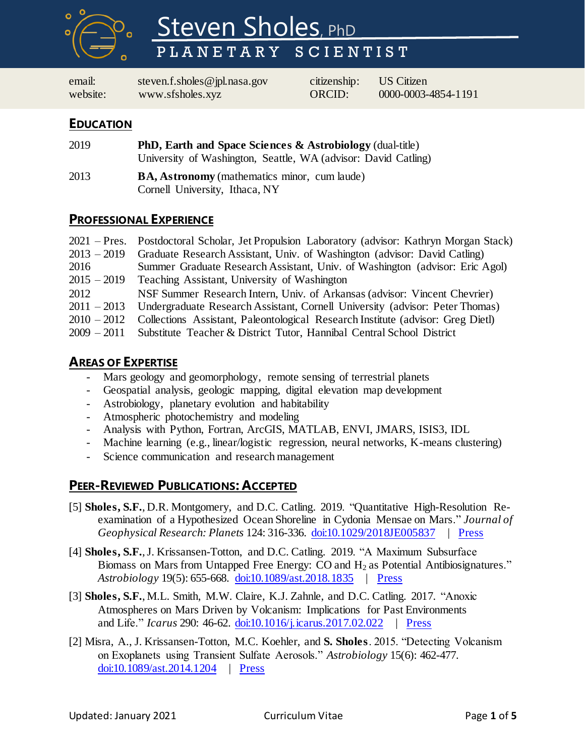

# Steven Sholes, PhD PLANETARY SCIENTIST

email: [steven.f.sholes@jpl.nasa.gov](mailto:steven.f.sholes@jpl.nasa.gov) citizenship: US Citizen website: [www.sfsholes.xyz](http://www.sfsholes.xyz/) ORCID: [0000-0003-4854-1191](https://orcid.org/0000-0003-4854-1191)

### **EDUCATION**

- 2019 **PhD, Earth and Space Sciences & Astrobiology** (dual-title) University of Washington, Seattle, WA (advisor: David Catling)
- 2013 **BA, Astronomy** (mathematics minor, cum laude) Cornell University, Ithaca, NY

## **PROFESSIONAL EXPERIENCE**

|               | 2021 – Pres. Postdoctoral Scholar, Jet Propulsion Laboratory (advisor: Kathryn Morgan Stack) |
|---------------|----------------------------------------------------------------------------------------------|
| $2013 - 2019$ | Graduate Research Assistant, Univ. of Washington (advisor: David Catling)                    |
| 2016          | Summer Graduate Research Assistant, Univ. of Washington (advisor: Eric Agol)                 |
| $2015 - 2019$ | Teaching Assistant, University of Washington                                                 |
| 2012          | NSF Summer Research Intern, Univ. of Arkansas (advisor: Vincent Chevrier)                    |
|               | 2011 – 2013 Undergraduate Research Assistant, Cornell University (advisor: Peter Thomas)     |
| $2010 - 2012$ | Collections Assistant, Paleontological Research Institute (advisor: Greg Dietl)              |
|               | 2009 - 2011 Substitute Teacher & District Tutor, Hannibal Central School District            |

## **AREAS OF EXPERTISE**

- Mars geology and geomorphology, remote sensing of terrestrial planets
- Geospatial analysis, geologic mapping, digital elevation map development
- Astrobiology, planetary evolution and habitability
- Atmospheric photochemistry and modeling
- Analysis with Python, Fortran, ArcGIS, MATLAB, ENVI, JMARS, ISIS3, IDL
- Machine learning (e.g., linear/logistic regression, neural networks, K-means clustering)
- Science communication and research management

# **PEER-REVIEWED PUBLICATIONS: ACCEPTED**

- [5] **Sholes, S.F.**, D.R. Montgomery, and D.C. Catling. 2019. "Quantitative High-Resolution Re examination of a Hypothesized Ocean Shoreline in Cydonia Mensae on Mars." *Journal of Geophysical Research: Planets* 124: 316-336. [doi:10.1029/2018JE005837](https://doi.org/10.1029/2018JE005837) | [Press](https://eos.org/research-spotlights/a-new-way-to-analyze-evidence-of-martian-oceans)
- [4] **Sholes, S.F.**, J. Krissansen-Totton, and D.C. Catling. 2019. "A Maximum Subsurface Biomass on Mars from Untapped Free Energy:  $CO$  and  $H<sub>2</sub>$  as Potential Antibiosignatures." *Astrobiology* 19(5): 655-668. [doi:10.1089/ast.2018.1835](https://doi.org/10.1089/ast.2018.1835) | [Press](https://www.newscientist.com/article/2200231-if-mars-has-life-its-total-mass-is-10000-times-smaller-than-earths)
- [3] **Sholes, S.F.**, M.L. Smith, M.W. Claire, K.J. Zahnle, and D.C. Catling. 2017. "Anoxic Atmospheres on Mars Driven by Volcanism: Implications for Past Environments and Life." *Icarus* 290: 46-62. [doi:10.1016/j.icarus.2017.02.022](https://dx.doi.org/10.1016/j.icarus.2017.02.022) | [Press](https://www.seeker.com/space/planets/volcanic-activity-on-ancient-mars-may-have-produced-organic-life)
- [2] Misra, A., J. Krissansen-Totton, M.C. Koehler, and **S. Sholes**. 2015. "Detecting Volcanism on Exoplanets using Transient Sulfate Aerosols." *Astrobiology* 15(6): 462-477. [doi:10.1089/ast.2014.1204](http://dx.doi.org/10.1089/ast.2014.1204) | [Press](http://www.astrobio.net/news-exclusive/volcanoes-light-up-atmospheres-of-small-exoplanets/)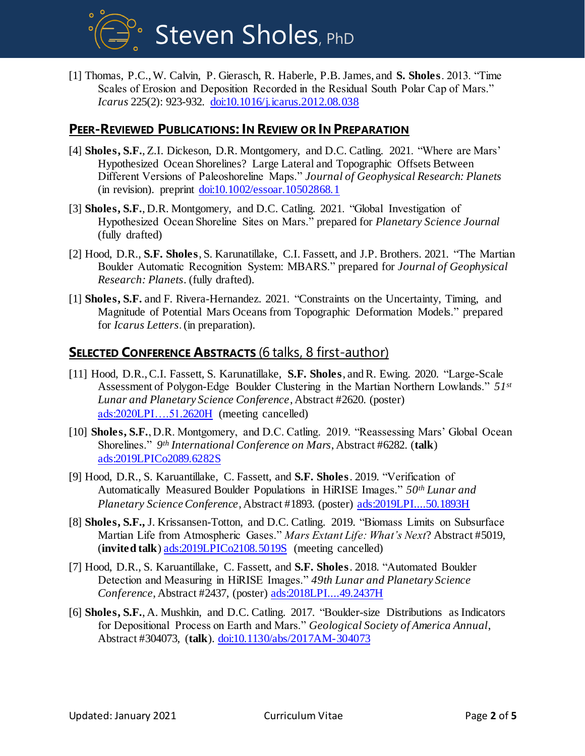**Steven Sholes**, PhD

[1] Thomas, P.C., W. Calvin, P. Gierasch, R. Haberle, P.B. James, and **S. Sholes**. 2013. "Time Scales of Erosion and Deposition Recorded in the Residual South Polar Cap of Mars." *Icarus* 225(2): 923-932. [doi:10.1016/j.icarus.2012.08.038](http://dx.doi.org/10.1016/j.icarus.2012.08.038)

### **PEER-REVIEWED PUBLICATIONS: IN REVIEW OR IN PREPARATION**

- [4] **Sholes, S.F.**, Z.I. Dickeson, D.R. Montgomery, and D.C. Catling. 2021. "Where are Mars' Hypothesized Ocean Shorelines? Large Lateral and Topographic Offsets Between Different Versions of Paleoshoreline Maps." *Journal of Geophysical Research: Planets* (in revision). preprint [doi:10.1002/essoar.10502868.1](https://doi.org/10.1002/essoar.10502868.1)
- [3] **Sholes, S.F.**, D.R. Montgomery, and D.C. Catling. 2021. "Global Investigation of Hypothesized Ocean Shoreline Sites on Mars." prepared for *Planetary Science Journal* (fully drafted)
- [2] Hood, D.R., **S.F. Sholes**, S. Karunatillake, C.I. Fassett, and J.P. Brothers. 2021. "The Martian Boulder Automatic Recognition System: MBARS." prepared for *Journal of Geophysical Research: Planets*. (fully drafted).
- [1] **Sholes, S.F.** and F. Rivera-Hernandez. 2021. "Constraints on the Uncertainty, Timing, and Magnitude of Potential Mars Oceans from Topographic Deformation Models." prepared for *Icarus Letters*. (in preparation).

#### **SELECTED CONFERENCE ABSTRACTS** (6 talks, 8 first-author)

- [11] Hood, D.R., C.I. Fassett, S. Karunatillake, **S.F. Sholes**, and R. Ewing. 2020. "Large-Scale Assessment of Polygon-Edge Boulder Clustering in the Martian Northern Lowlands." *51st Lunar and Planetary Science Conference*, Abstract #2620. (poster) [ads:2020LPI….51.2620H](file:///D:/Real%20Life/Resumes/ui.adsabs.harvard.edu/abs/2020LPI....51.2620H) (meeting cancelled)
- [10] **Sholes, S.F.**, D.R. Montgomery, and D.C. Catling. 2019. "Reassessing Mars' Global Ocean Shorelines." *9 th International Conference on Mars*, Abstract #6282. (**talk**) [ads:2019LPICo2089.6282S](file:///D:/Real%20Life/Resumes/ui.adsabs.harvard.edu/abs/2019LPICo2089.6282S)
- [9] Hood, D.R., S. Karuantillake, C. Fassett, and **S.F. Sholes**. 2019. "Verification of Automatically Measured Boulder Populations in HiRISE Images." *50th Lunar and Planetary Science Conference*, Abstract #1893. (poster) [ads:2019LPI....50.1893H](https://ui.adsabs.harvard.edu/#abs/2019LPI....50.1893H/abstract)
- [8] **Sholes, S.F.,** J. Krissansen-Totton, and D.C. Catling. 2019. "Biomass Limits on Subsurface Martian Life from Atmospheric Gases." *Mars Extant Life: What's Next*? Abstract #5019, (**invited talk**[\) ads:2019LPICo2108.5019S](file:///D:/Real%20Life/Resumes/ui.adsabs.harvard.edu/abs/2019LPICo2108.5019S) (meeting cancelled)
- [7] Hood, D.R., S. Karuantillake, C. Fassett, and **S.F. Sholes**. 2018. "Automated Boulder Detection and Measuring in HiRISE Images." *49th Lunar and Planetary Science Conference*, Abstract #2437, (poster) [ads:2018LPI....49.2437H](http://adsabs.harvard.edu/abs/2018LPI....49.2437H)
- [6] **Sholes, S.F.**, A. Mushkin, and D.C. Catling. 2017. "Boulder-size Distributions as Indicators for Depositional Process on Earth and Mars." *Geological Society of America Annual*, Abstract #304073, (**talk**). [doi:10.1130/abs/2017AM-304073](https://gsa.confex.com/gsa/2017AM/webprogram/Paper304073.html)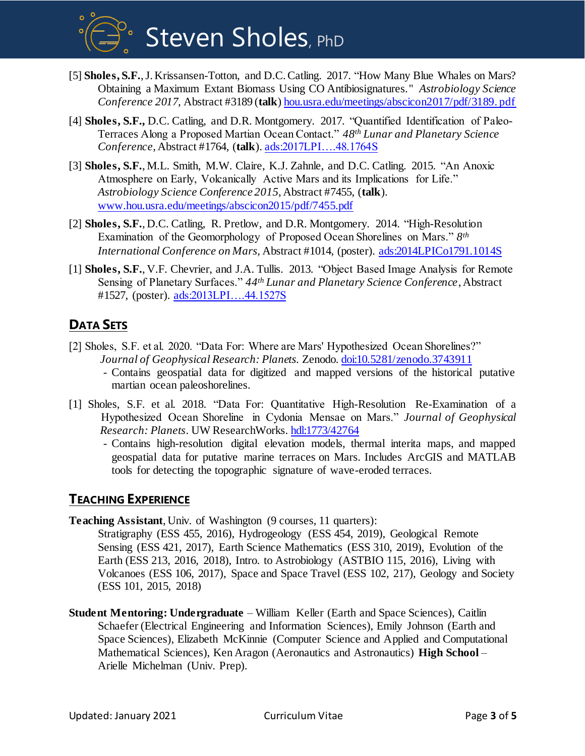

- [5] **Sholes, S.F.**, J. Krissansen-Totton, and D.C. Catling. 2017. "How Many Blue Whales on Mars? Obtaining a Maximum Extant Biomass Using CO Antibiosignatures." *Astrobiology Science Conference 2017,* Abstract #3189 (**talk**) [hou.usra.edu/meetings/abscicon2017/pdf/3189. pdf](http://www.hou.usra.edu/meetings/abscicon2017/pdf/3189.pdf)
- [4] **Sholes, S.F.,** D.C. Catling, and D.R. Montgomery. 2017. "Quantified Identification of Paleo- Terraces Along a Proposed Martian Ocean Contact." *48th Lunar and Planetary Science Conference*, Abstract #1764, (**talk**). [ads:2017LPI….48.1764S](http://adsabs.harvard.edu/abs/2017LPI....48.1764S)
- [3] **Sholes, S.F.**, M.L. Smith, M.W. Claire, K.J. Zahnle, and D.C. Catling. 2015. "An Anoxic Atmosphere on Early, Volcanically Active Mars and its Implications for Life." *Astrobiology Science Conference 2015*, Abstract #7455, (**talk**). [www.hou.usra.edu/meetings/abscicon2015/pdf/7455.pdf](file:///C:/Users/Steven/Downloads/www.hou.usra.edu/meetings/abscicon2015/pdf/7455.pdf)
- [2] **Sholes, S.F.**, D.C. Catling, R. Pretlow, and D.R. Montgomery. 2014. "High-Resolution Examination of the Geomorphology of Proposed Ocean Shorelines on Mars." *8 th International Conference on Mars,* Abstract #1014, (poster). [ads:2014LPICo1791.1014S](http://adsabs.harvard.edu/abs/2014LPICo1791.1014S)
- [1] **Sholes, S.F.**, V.F. Chevrier, and J.A. Tullis. 2013. "Object Based Image Analysis for Remote Sensing of Planetary Surfaces." *44th Lunar and Planetary Science Conference*, Abstract #1527, (poster). [ads:2013LPI….44.1527S](http://adsabs.harvard.edu/abs/2013LPI....44.1527S)

# **DATA SETS**

- [2] Sholes, S.F. et al. 2020. "Data For: Where are Mars' Hypothesized Ocean Shorelines?" *Journal of Geophysical Research: Planets.* Zenodo. [doi:10.5281/zenodo.3743911](https://doi.org/10.5281/zenodo.3743911) - Contains geospatial data for digitized and mapped versions of the historical putative martian ocean paleoshorelines.
- [1] Sholes, S.F. et al. 2018. "Data For: Quantitative High-Resolution Re-Examination of a Hypothesized Ocean Shoreline in Cydonia Mensae on Mars." *Journal of Geophysical Research: Planets*. UW ResearchWorks[. hdl:1773/42764](http://hdl.handle.net/1773/42764)

- Contains high-resolution digital elevation models, thermal interita maps, and mapped geospatial data for putative marine terraces on Mars. Includes ArcGIS and MATLAB tools for detecting the topographic signature of wave-eroded terraces.

# **TEACHING EXPERIENCE**

**Teaching Assistant**, Univ. of Washington (9 courses, 11 quarters):

Stratigraphy (ESS 455, 2016), Hydrogeology (ESS 454, 2019), Geological Remote Sensing (ESS 421, 2017), Earth Science Mathematics (ESS 310, 2019), Evolution of the Earth (ESS 213, 2016, 2018), Intro. to Astrobiology (ASTBIO 115, 2016), Living with Volcanoes (ESS 106, 2017), Space and Space Travel (ESS 102, 217), Geology and Society (ESS 101, 2015, 2018)

**Student Mentoring: Undergraduate** – William Keller (Earth and Space Sciences), Caitlin Schaefer (Electrical Engineering and Information Sciences), Emily Johnson (Earth and Space Sciences), Elizabeth McKinnie (Computer Science and Applied and Computational Mathematical Sciences), Ken Aragon (Aeronautics and Astronautics) **High School** – Arielle Michelman (Univ. Prep).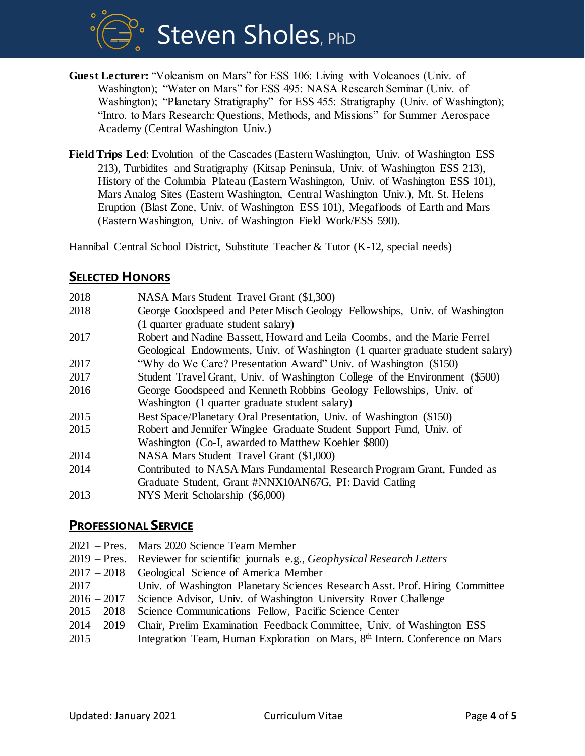**Steven Sholes**, PhD

- **Guest Lecturer:** "Volcanism on Mars" for ESS 106: Living with Volcanoes (Univ. of Washington); "Water on Mars" for ESS 495: NASA Research Seminar (Univ. of Washington); "Planetary Stratigraphy" for ESS 455: Stratigraphy (Univ. of Washington); "Intro. to Mars Research: Questions, Methods, and Missions" for Summer Aerospace Academy (Central Washington Univ.)
- **Field Trips Led**: Evolution of the Cascades (Eastern Washington, Univ. of Washington ESS 213), Turbidites and Stratigraphy (Kitsap Peninsula, Univ. of Washington ESS 213), History of the Columbia Plateau (Eastern Washington, Univ. of Washington ESS 101), Mars Analog Sites (Eastern Washington, Central Washington Univ.), Mt. St. Helens Eruption (Blast Zone, Univ. of Washington ESS 101), Megafloods of Earth and Mars (Eastern Washington, Univ. of Washington Field Work/ESS 590).

Hannibal Central School District, Substitute Teacher & Tutor (K-12, special needs)

## **SELECTED HONORS**

| 2018 | NASA Mars Student Travel Grant (\$1,300)                                       |
|------|--------------------------------------------------------------------------------|
| 2018 | George Goodspeed and Peter Misch Geology Fellowships, Univ. of Washington      |
|      | (1 quarter graduate student salary)                                            |
| 2017 | Robert and Nadine Bassett, Howard and Leila Coombs, and the Marie Ferrel       |
|      | Geological Endowments, Univ. of Washington (1 quarter graduate student salary) |
| 2017 | "Why do We Care? Presentation Award" Univ. of Washington (\$150)               |
| 2017 | Student Travel Grant, Univ. of Washington College of the Environment (\$500)   |
| 2016 | George Goodspeed and Kenneth Robbins Geology Fellowships, Univ. of             |
|      | Washington (1 quarter graduate student salary)                                 |
| 2015 | Best Space/Planetary Oral Presentation, Univ. of Washington (\$150)            |
| 2015 | Robert and Jennifer Winglee Graduate Student Support Fund, Univ. of            |
|      | Washington (Co-I, awarded to Matthew Koehler \$800)                            |
| 2014 | NASA Mars Student Travel Grant (\$1,000)                                       |
| 2014 | Contributed to NASA Mars Fundamental Research Program Grant, Funded as         |
|      | Graduate Student, Grant #NNX10AN67G, PI: David Catling                         |
| 2013 | NYS Merit Scholarship (\$6,000)                                                |

#### **PROFESSIONAL SERVICE**

|               | 2021 – Pres. Mars 2020 Science Team Member                                              |
|---------------|-----------------------------------------------------------------------------------------|
|               | 2019 – Pres. Reviewer for scientific journals e.g., <i>Geophysical Research Letters</i> |
|               | 2017 – 2018 Geological Science of America Member                                        |
| 2017          | Univ. of Washington Planetary Sciences Research Asst. Prof. Hiring Committee            |
| $2016 - 2017$ | Science Advisor, Univ. of Washington University Rover Challenge                         |
| $2015 - 2018$ | Science Communications Fellow, Pacific Science Center                                   |
| $2014 - 2019$ | Chair, Prelim Examination Feedback Committee, Univ. of Washington ESS                   |
| 2015          | Integration Team, Human Exploration on Mars, 8 <sup>th</sup> Intern. Conference on Mars |